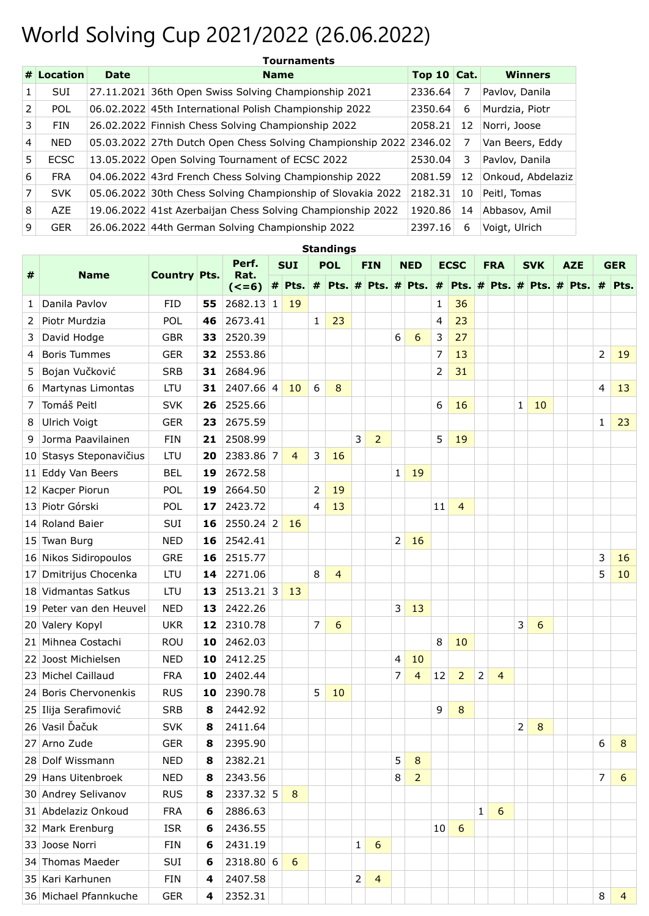## World Solving Cup 2021/2022 (26.06.2022)

|                | # Location  | <b>Date</b> | <b>Name</b>                                                        | Top 10 $Cat.$ |    | <b>Winners</b>    |
|----------------|-------------|-------------|--------------------------------------------------------------------|---------------|----|-------------------|
| 1.             | <b>SUI</b>  |             | 27.11.2021 36th Open Swiss Solving Championship 2021               | 2336.64       | 7  | Pavlov, Danila    |
| 2              | <b>POL</b>  |             | 06.02.2022 45th International Polish Championship 2022             | 2350.64       | 6  | Murdzia, Piotr    |
| 3              | <b>FIN</b>  |             | 26.02.2022 Finnish Chess Solving Championship 2022                 | 2058.21       | 12 | Norri, Joose      |
| $\overline{4}$ | <b>NED</b>  |             | 05.03.2022 27th Dutch Open Chess Solving Championship 2022 2346.02 |               | 7  | Van Beers, Eddy   |
| 5              | <b>ECSC</b> |             | 13.05.2022 Open Solving Tournament of ECSC 2022                    | 2530.04       | 3  | Pavlov, Danila    |
| 6              | <b>FRA</b>  |             | 04.06.2022 43rd French Chess Solving Championship 2022             | 2081.59       | 12 | Onkoud, Abdelaziz |
| 7              | <b>SVK</b>  |             | 05.06.2022 30th Chess Solving Championship of Slovakia 2022        | 2182.31       | 10 | Peitl, Tomas      |
| 8              | <b>AZE</b>  |             | 19.06.2022 41st Azerbaijan Chess Solving Championship 2022         | 1920.86       | 14 | Abbasov, Amil     |
| 9              | <b>GER</b>  |             | 26.06.2022 44th German Solving Championship 2022                   | 2397.16       | 6  | Voigt, Ulrich     |

|   | <b>Standings</b>           |                     |    |                 |            |                                                                       |              |                |            |                |             |                |                |                |              |                |              |    |            |  |                |    |
|---|----------------------------|---------------------|----|-----------------|------------|-----------------------------------------------------------------------|--------------|----------------|------------|----------------|-------------|----------------|----------------|----------------|--------------|----------------|--------------|----|------------|--|----------------|----|
|   |                            |                     |    | Perf.           | <b>SUI</b> |                                                                       | <b>POL</b>   |                | <b>FIN</b> |                | <b>NED</b>  |                |                | <b>ECSC</b>    |              | <b>FRA</b>     | <b>SVK</b>   |    | <b>AZE</b> |  | <b>GER</b>     |    |
| # | <b>Name</b>                | <b>Country Pts.</b> |    | Rat.<br>$(<=6)$ |            | # Pts. # Pts. # Pts. # Pts. # Pts. # Pts. # Pts. # Pts. # Pts. # Pts. |              |                |            |                |             |                |                |                |              |                |              |    |            |  |                |    |
| 1 | Danila Pavlov              | <b>FID</b>          | 55 | $2682.13$ 1     |            | 19                                                                    |              |                |            |                |             |                | $\mathbf{1}$   | 36             |              |                |              |    |            |  |                |    |
| 2 | Piotr Murdzia              | POL                 | 46 | 2673.41         |            |                                                                       | $\mathbf{1}$ | 23             |            |                |             |                | $\overline{4}$ | 23             |              |                |              |    |            |  |                |    |
| 3 | David Hodge                | <b>GBR</b>          | 33 | 2520.39         |            |                                                                       |              |                |            |                | 6           | 6              | 3              | 27             |              |                |              |    |            |  |                |    |
| 4 | <b>Boris Tummes</b>        | <b>GER</b>          | 32 | 2553.86         |            |                                                                       |              |                |            |                |             |                | 7              | 13             |              |                |              |    |            |  | 2              | 19 |
| 5 | Bojan Vučković             | <b>SRB</b>          | 31 | 2684.96         |            |                                                                       |              |                |            |                |             |                | $\overline{2}$ | 31             |              |                |              |    |            |  |                |    |
| 6 | Martynas Limontas          | <b>LTU</b>          | 31 | 2407.66 4       |            | 10                                                                    | 6            | 8              |            |                |             |                |                |                |              |                |              |    |            |  | $\overline{4}$ | 13 |
| 7 | Tomáš Peitl<br><b>SVK</b>  |                     | 26 | 2525.66         |            |                                                                       |              |                |            |                |             |                | 6              | 16             |              |                | $\mathbf{1}$ | 10 |            |  |                |    |
| 8 | Ulrich Voigt<br><b>GER</b> |                     | 23 | 2675.59         |            |                                                                       |              |                |            |                |             |                |                |                |              |                |              |    |            |  | 1              | 23 |
| 9 | Jorma Paavilainen          | <b>FIN</b>          | 21 | 2508.99         |            |                                                                       |              |                | 3          | $\overline{2}$ |             |                | 5              | 19             |              |                |              |    |            |  |                |    |
|   | 10 Stasys Steponavičius    | LTU                 | 20 | 2383.86 7       |            | 4                                                                     | 3            | 16             |            |                |             |                |                |                |              |                |              |    |            |  |                |    |
|   | 11 Eddy Van Beers          | <b>BEL</b>          | 19 | 2672.58         |            |                                                                       |              |                |            |                | $\mathbf 1$ | 19             |                |                |              |                |              |    |            |  |                |    |
|   | 12 Kacper Piorun           | POL                 | 19 | 2664.50         |            |                                                                       | 2            | 19             |            |                |             |                |                |                |              |                |              |    |            |  |                |    |
|   | 13 Piotr Górski            | POL                 | 17 | 2423.72         |            |                                                                       | 4            | 13             |            |                |             |                | 11             | 4              |              |                |              |    |            |  |                |    |
|   | 14 Roland Baier            | SUI                 | 16 | 2550.24 2       |            | 16                                                                    |              |                |            |                |             |                |                |                |              |                |              |    |            |  |                |    |
|   | 15 Twan Burg               | <b>NED</b>          | 16 | 2542.41         |            |                                                                       |              |                |            |                | 2           | 16             |                |                |              |                |              |    |            |  |                |    |
|   | 16 Nikos Sidiropoulos      | <b>GRE</b>          | 16 | 2515.77         |            |                                                                       |              |                |            |                |             |                |                |                |              |                |              |    |            |  | 3              | 16 |
|   | 17 Dmitrijus Chocenka      | LTU                 | 14 | 2271.06         |            |                                                                       | 8            | $\overline{4}$ |            |                |             |                |                |                |              |                |              |    |            |  | 5              | 10 |
|   | 18 Vidmantas Satkus        | LTU                 | 13 | $2513.21$ 3     |            | 13                                                                    |              |                |            |                |             |                |                |                |              |                |              |    |            |  |                |    |
|   | 19 Peter van den Heuvel    | <b>NED</b>          | 13 | 2422.26         |            |                                                                       |              |                |            |                | 3           | 13             |                |                |              |                |              |    |            |  |                |    |
|   | 20 Valery Kopyl            | <b>UKR</b>          | 12 | 2310.78         |            |                                                                       | 7            | 6              |            |                |             |                |                |                |              |                | 3            | 6  |            |  |                |    |
|   | 21 Mihnea Costachi         | ROU                 | 10 | 2462.03         |            |                                                                       |              |                |            |                |             |                | 8              | 10             |              |                |              |    |            |  |                |    |
|   | 22 Joost Michielsen        | <b>NED</b>          | 10 | 2412.25         |            |                                                                       |              |                |            |                | 4           | 10             |                |                |              |                |              |    |            |  |                |    |
|   | 23 Michel Caillaud         | <b>FRA</b>          | 10 | 2402.44         |            |                                                                       |              |                |            |                | 7           | $\overline{4}$ | 12             | $\overline{2}$ | 2            | $\overline{4}$ |              |    |            |  |                |    |
|   | 24 Boris Chervonenkis      | <b>RUS</b>          | 10 | 2390.78         |            |                                                                       | 5            | 10             |            |                |             |                |                |                |              |                |              |    |            |  |                |    |
|   | 25 Ilija Serafimović       | <b>SRB</b>          | 8  | 2442.92         |            |                                                                       |              |                |            |                |             |                | 9              | 8              |              |                |              |    |            |  |                |    |
|   | 26 Vasil Ďačuk             | <b>SVK</b>          | 8  | 2411.64         |            |                                                                       |              |                |            |                |             |                |                |                |              |                | 2            | 8  |            |  |                |    |
|   | 27 Arno Zude               | <b>GER</b>          | 8  | 2395.90         |            |                                                                       |              |                |            |                |             |                |                |                |              |                |              |    |            |  | 6              | 8  |
|   | 28 Dolf Wissmann           | <b>NED</b>          | 8  | 2382.21         |            |                                                                       |              |                |            |                | 5           | 8              |                |                |              |                |              |    |            |  |                |    |
|   | 29 Hans Uitenbroek         | <b>NED</b>          | 8  | 2343.56         |            |                                                                       |              |                |            |                | 8           | $\overline{2}$ |                |                |              |                |              |    |            |  | 7              | 6  |
|   | 30 Andrey Selivanov        | <b>RUS</b>          | 8  | 2337.32 5       |            | 8                                                                     |              |                |            |                |             |                |                |                |              |                |              |    |            |  |                |    |
|   | 31 Abdelaziz Onkoud        | <b>FRA</b>          | 6  | 2886.63         |            |                                                                       |              |                |            |                |             |                |                |                | $\mathbf{1}$ | 6              |              |    |            |  |                |    |
|   | 32 Mark Erenburg           | <b>ISR</b>          | 6  | 2436.55         |            |                                                                       |              |                |            |                |             |                | 10             | 6              |              |                |              |    |            |  |                |    |
|   | 33 Joose Norri<br>FIN      |                     | 6  | 2431.19         |            |                                                                       |              |                | 1          | 6              |             |                |                |                |              |                |              |    |            |  |                |    |
|   | 34 Thomas Maeder           | SUI                 | 6  | 2318.80 6       |            | 6                                                                     |              |                |            |                |             |                |                |                |              |                |              |    |            |  |                |    |
|   | 35 Kari Karhunen           | FIN                 | 4  | 2407.58         |            |                                                                       |              |                | 2          | $\overline{4}$ |             |                |                |                |              |                |              |    |            |  |                |    |
|   | 36 Michael Pfannkuche      | <b>GER</b>          | 4  | 2352.31         |            |                                                                       |              |                |            |                |             |                |                |                |              |                |              |    |            |  | 8              | 4  |